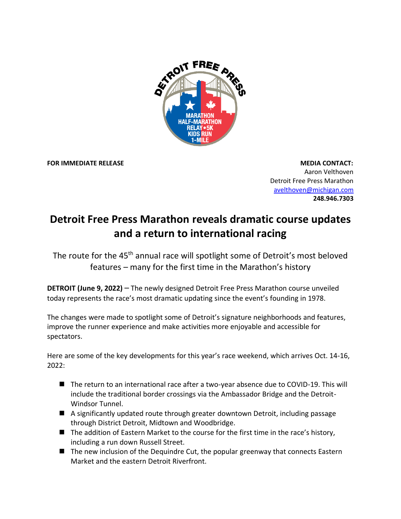

**FOR IMMEDIATE RELEASE MEDIA CONTACT:** Aaron Velthoven Detroit Free Press Marathon [avelthoven@michigan.com](mailto:avelthoven@michigan.com) **248.946.7303**

## **Detroit Free Press Marathon reveals dramatic course updates and a return to international racing**

The route for the 45<sup>th</sup> annual race will spotlight some of Detroit's most beloved features – many for the first time in the Marathon's history

**DETROIT (June 9, 2022)** – The newly designed Detroit Free Press Marathon course unveiled today represents the race's most dramatic updating since the event's founding in 1978.

The changes were made to spotlight some of Detroit's signature neighborhoods and features, improve the runner experience and make activities more enjoyable and accessible for spectators.

Here are some of the key developments for this year's race weekend, which arrives Oct. 14-16, 2022:

- The return to an international race after a two-year absence due to COVID-19. This will include the traditional border crossings via the Ambassador Bridge and the Detroit-Windsor Tunnel.
- A significantly updated route through greater downtown Detroit, including passage through District Detroit, Midtown and Woodbridge.
- The addition of Eastern Market to the course for the first time in the race's history, including a run down Russell Street.
- The new inclusion of the Dequindre Cut, the popular greenway that connects Eastern Market and the eastern Detroit Riverfront.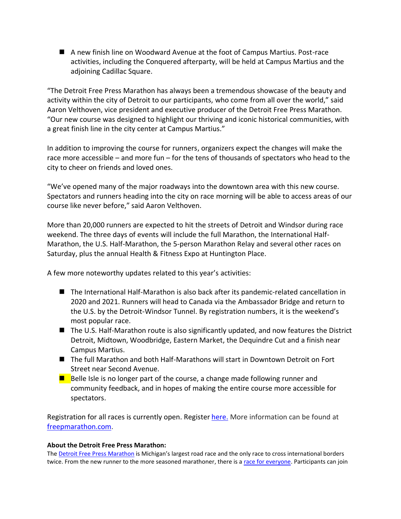■ A new finish line on Woodward Avenue at the foot of Campus Martius. Post-race activities, including the Conquered afterparty, will be held at Campus Martius and the adjoining Cadillac Square.

"The Detroit Free Press Marathon has always been a tremendous showcase of the beauty and activity within the city of Detroit to our participants, who come from all over the world," said Aaron Velthoven, vice president and executive producer of the Detroit Free Press Marathon. "Our new course was designed to highlight our thriving and iconic historical communities, with a great finish line in the city center at Campus Martius."

In addition to improving the course for runners, organizers expect the changes will make the race more accessible – and more fun – for the tens of thousands of spectators who head to the city to cheer on friends and loved ones.

"We've opened many of the major roadways into the downtown area with this new course. Spectators and runners heading into the city on race morning will be able to access areas of our course like never before," said Aaron Velthoven.

More than 20,000 runners are expected to hit the streets of Detroit and Windsor during race weekend. The three days of events will include the full Marathon, the International Half-Marathon, the U.S. Half-Marathon, the 5-person Marathon Relay and several other races on Saturday, plus the annual Health & Fitness Expo at Huntington Place.

A few more noteworthy updates related to this year's activities:

- The International Half-Marathon is also back after its pandemic-related cancellation in 2020 and 2021. Runners will head to Canada via the Ambassador Bridge and return to the U.S. by the Detroit-Windsor Tunnel. By registration numbers, it is the weekend's most popular race.
- The U.S. Half-Marathon route is also significantly updated, and now features the District Detroit, Midtown, Woodbridge, Eastern Market, the Dequindre Cut and a finish near Campus Martius.
- The full Marathon and both Half-Marathons will start in Downtown Detroit on Fort Street near Second Avenue.
- Belle Isle is no longer part of the course, a change made following runner and community feedback, and in hopes of making the entire course more accessible for spectators.

Registration for all races is currently open. Register [here.](https://detroitmarathon.enmotive.com/events/register/2022-detroit-free-press-marathon) More information can be found at [freepmarathon.com.](https://www.freepmarathon.com/faqs/)

## **About the Detroit Free Press Marathon:**

The [Detroit Free Press Marathon](http://www.freepmarathon.com/) is Michigan's largest road race and the only race to cross international borders twice. From the new runner to the more seasoned marathoner, there is a [race for everyone.](http://www.freepmarathon.com/events/) Participants can join